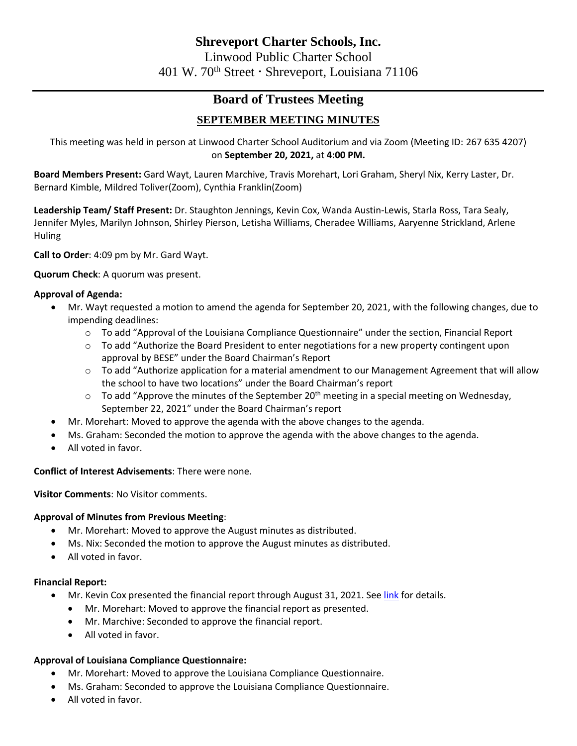# **Board of Trustees Meeting**

# **SEPTEMBER MEETING MINUTES**

This meeting was held in person at Linwood Charter School Auditorium and via Zoom (Meeting ID: 267 635 4207) on **September 20, 2021,** at **4:00 PM.**

**Board Members Present:** Gard Wayt, Lauren Marchive, Travis Morehart, Lori Graham, Sheryl Nix, Kerry Laster, Dr. Bernard Kimble, Mildred Toliver(Zoom), Cynthia Franklin(Zoom)

**Leadership Team/ Staff Present:** Dr. Staughton Jennings, Kevin Cox, Wanda Austin-Lewis, Starla Ross, Tara Sealy, Jennifer Myles, Marilyn Johnson, Shirley Pierson, Letisha Williams, Cheradee Williams, Aaryenne Strickland, Arlene Huling

**Call to Order**: 4:09 pm by Mr. Gard Wayt.

**Quorum Check**: A quorum was present.

# **Approval of Agenda:**

- Mr. Wayt requested a motion to amend the agenda for September 20, 2021, with the following changes, due to impending deadlines:
	- $\circ$  To add "Approval of the Louisiana Compliance Questionnaire" under the section, Financial Report
	- o To add "Authorize the Board President to enter negotiations for a new property contingent upon approval by BESE" under the Board Chairman's Report
	- $\circ$  To add "Authorize application for a material amendment to our Management Agreement that will allow the school to have two locations" under the Board Chairman's report
	- $\circ$  To add "Approve the minutes of the September 20<sup>th</sup> meeting in a special meeting on Wednesday, September 22, 2021" under the Board Chairman's report
- Mr. Morehart: Moved to approve the agenda with the above changes to the agenda.
- Ms. Graham: Seconded the motion to approve the agenda with the above changes to the agenda.
- All voted in favor.

# **Conflict of Interest Advisements**: There were none.

**Visitor Comments**: No Visitor comments.

## **Approval of Minutes from Previous Meeting**:

- Mr. Morehart: Moved to approve the August minutes as distributed.
- Ms. Nix: Seconded the motion to approve the August minutes as distributed.
- All voted in favor.

## **Financial Report:**

- Mr. Kevin Cox presented the financial report through August 31, 2021. See [link](file:///C:/Users/cwilliams/OneDrive%20-%20Linwood%20Public%20Charter%20School/Board%20Meetings/Finance%20Report/FY22%20Aug%20Finance%20Report.pdf) for details.
	- Mr. Morehart: Moved to approve the financial report as presented.
	- Mr. Marchive: Seconded to approve the financial report.
	- All voted in favor.

# **Approval of Louisiana Compliance Questionnaire:**

- Mr. Morehart: Moved to approve the Louisiana Compliance Questionnaire.
- Ms. Graham: Seconded to approve the Louisiana Compliance Questionnaire.
- All voted in favor.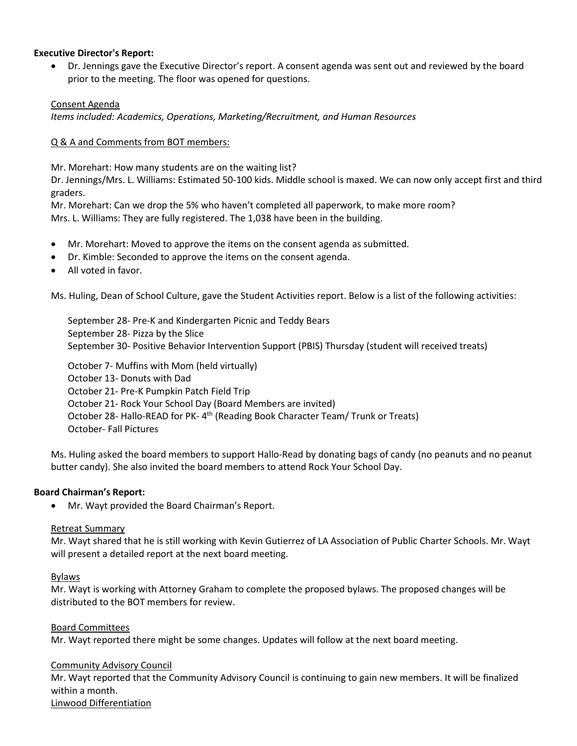### **Executive Director's Report:**

• Dr. Jennings gave the Executive Director's report. A consent agenda was sent out and reviewed by the board prior to the meeting. The floor was opened for questions.

## Consent Agenda

*Items included: Academics, Operations, Marketing/Recruitment, and Human Resources*

## Q & A and Comments from BOT members:

Mr. Morehart: How many students are on the waiting list?

Dr. Jennings/Mrs. L. Williams: Estimated 50-100 kids. Middle school is maxed. We can now only accept first and third graders.

Mr. Morehart: Can we drop the 5% who haven't completed all paperwork, to make more room? Mrs. L. Williams: They are fully registered. The 1,038 have been in the building.

- Mr. Morehart: Moved to approve the items on the consent agenda as submitted.
- Dr. Kimble: Seconded to approve the items on the consent agenda.
- All voted in favor.

Ms. Huling, Dean of School Culture, gave the Student Activities report. Below is a list of the following activities:

September 28- Pre-K and Kindergarten Picnic and Teddy Bears September 28- Pizza by the Slice September 30- Positive Behavior Intervention Support (PBIS) Thursday (student will received treats)

October 7- Muffins with Mom (held virtually) October 13- Donuts with Dad October 21- Pre-K Pumpkin Patch Field Trip October 21- Rock Your School Day (Board Members are invited) October 28- Hallo-READ for PK- 4<sup>th</sup> (Reading Book Character Team/ Trunk or Treats) October- Fall Pictures

Ms. Huling asked the board members to support Hallo-Read by donating bags of candy (no peanuts and no peanut butter candy). She also invited the board members to attend Rock Your School Day.

## **Board Chairman's Report:**

• Mr. Wayt provided the Board Chairman's Report.

#### Retreat Summary

Mr. Wayt shared that he is still working with Kevin Gutierrez of LA Association of Public Charter Schools. Mr. Wayt will present a detailed report at the next board meeting.

#### Bylaws

Mr. Wayt is working with Attorney Graham to complete the proposed bylaws. The proposed changes will be distributed to the BOT members for review.

#### Board Committees

Mr. Wayt reported there might be some changes. Updates will follow at the next board meeting.

## Community Advisory Council

Mr. Wayt reported that the Community Advisory Council is continuing to gain new members. It will be finalized within a month.

Linwood Differentiation